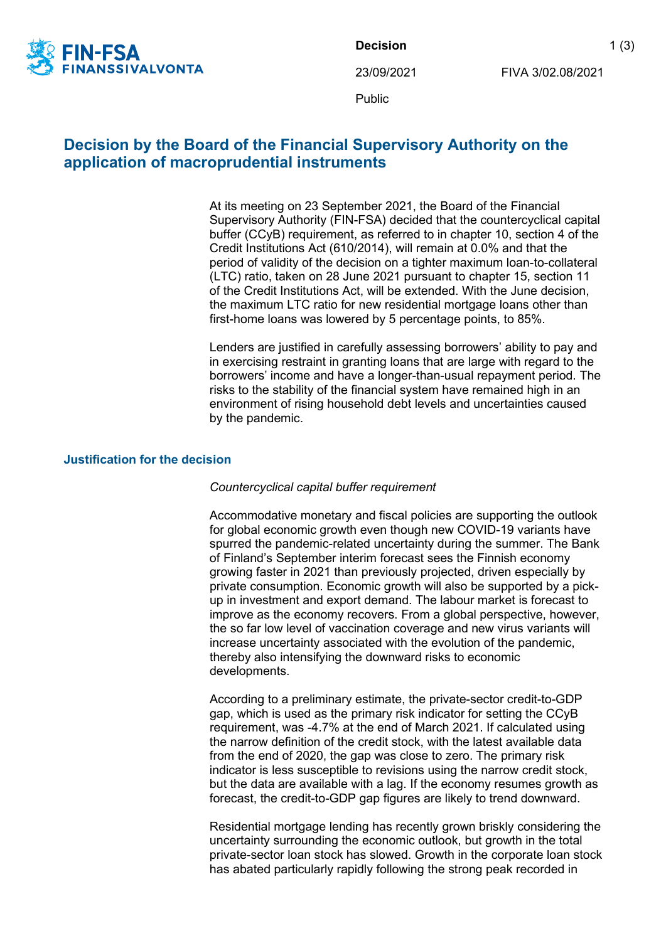

**Decision** 1 (3)

23/09/2021 FIVA 3/02.08/2021

Public

## **Decision by the Board of the Financial Supervisory Authority on the application of macroprudential instruments**

At its meeting on 23 September 2021, the Board of the Financial Supervisory Authority (FIN-FSA) decided that the countercyclical capital buffer (CCyB) requirement, as referred to in chapter 10, section 4 of the Credit Institutions Act (610/2014), will remain at 0.0% and that the period of validity of the decision on a tighter maximum loan-to-collateral (LTC) ratio, taken on 28 June 2021 pursuant to chapter 15, section 11 of the Credit Institutions Act, will be extended. With the June decision, the maximum LTC ratio for new residential mortgage loans other than first-home loans was lowered by 5 percentage points, to 85%.

Lenders are justified in carefully assessing borrowers' ability to pay and in exercising restraint in granting loans that are large with regard to the borrowers' income and have a longer-than-usual repayment period. The risks to the stability of the financial system have remained high in an environment of rising household debt levels and uncertainties caused by the pandemic.

## **Justification for the decision**

## *Countercyclical capital buffer requirement*

Accommodative monetary and fiscal policies are supporting the outlook for global economic growth even though new COVID-19 variants have spurred the pandemic-related uncertainty during the summer. The Bank of Finland's September interim forecast sees the Finnish economy growing faster in 2021 than previously projected, driven especially by private consumption. Economic growth will also be supported by a pickup in investment and export demand. The labour market is forecast to improve as the economy recovers. From a global perspective, however, the so far low level of vaccination coverage and new virus variants will increase uncertainty associated with the evolution of the pandemic, thereby also intensifying the downward risks to economic developments.

According to a preliminary estimate, the private-sector credit-to-GDP gap, which is used as the primary risk indicator for setting the CCyB requirement, was -4.7% at the end of March 2021. If calculated using the narrow definition of the credit stock, with the latest available data from the end of 2020, the gap was close to zero. The primary risk indicator is less susceptible to revisions using the narrow credit stock, but the data are available with a lag. If the economy resumes growth as forecast, the credit-to-GDP gap figures are likely to trend downward.

Residential mortgage lending has recently grown briskly considering the uncertainty surrounding the economic outlook, but growth in the total private-sector loan stock has slowed. Growth in the corporate loan stock has abated particularly rapidly following the strong peak recorded in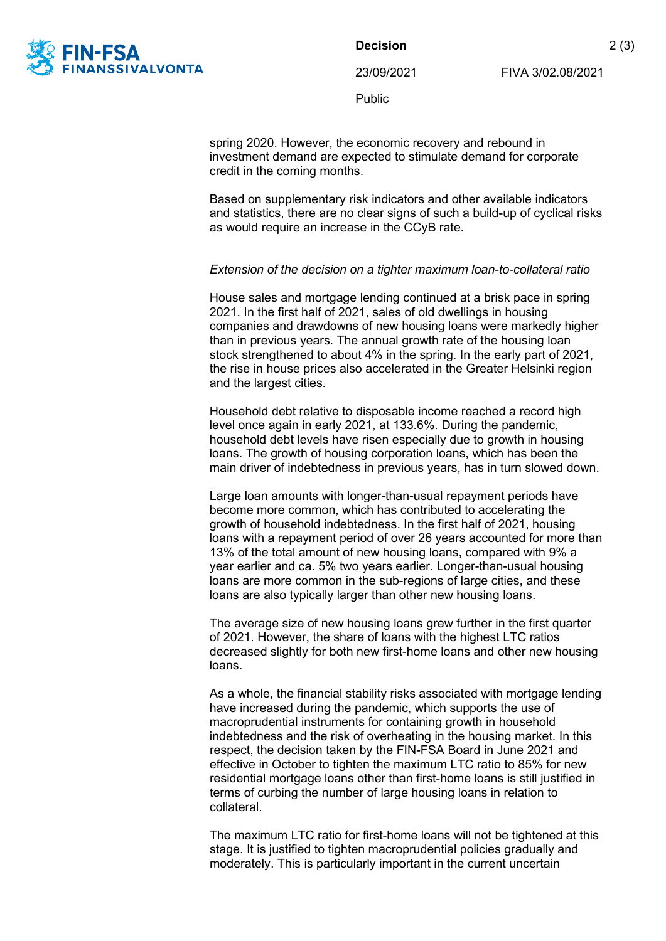

**Decision** 2 (3)

23/09/2021 FIVA 3/02.08/2021

Public

spring 2020. However, the economic recovery and rebound in investment demand are expected to stimulate demand for corporate credit in the coming months.

Based on supplementary risk indicators and other available indicators and statistics, there are no clear signs of such a build-up of cyclical risks as would require an increase in the CCyB rate.

## *Extension of the decision on a tighter maximum loan-to-collateral ratio*

House sales and mortgage lending continued at a brisk pace in spring 2021. In the first half of 2021, sales of old dwellings in housing companies and drawdowns of new housing loans were markedly higher than in previous years. The annual growth rate of the housing loan stock strengthened to about 4% in the spring. In the early part of 2021, the rise in house prices also accelerated in the Greater Helsinki region and the largest cities.

Household debt relative to disposable income reached a record high level once again in early 2021, at 133.6%. During the pandemic, household debt levels have risen especially due to growth in housing loans. The growth of housing corporation loans, which has been the main driver of indebtedness in previous years, has in turn slowed down.

Large loan amounts with longer-than-usual repayment periods have become more common, which has contributed to accelerating the growth of household indebtedness. In the first half of 2021, housing loans with a repayment period of over 26 years accounted for more than 13% of the total amount of new housing loans, compared with 9% a year earlier and ca. 5% two years earlier. Longer-than-usual housing loans are more common in the sub-regions of large cities, and these loans are also typically larger than other new housing loans.

The average size of new housing loans grew further in the first quarter of 2021. However, the share of loans with the highest LTC ratios decreased slightly for both new first-home loans and other new housing loans.

As a whole, the financial stability risks associated with mortgage lending have increased during the pandemic, which supports the use of macroprudential instruments for containing growth in household indebtedness and the risk of overheating in the housing market. In this respect, the decision taken by the FIN-FSA Board in June 2021 and effective in October to tighten the maximum LTC ratio to 85% for new residential mortgage loans other than first-home loans is still justified in terms of curbing the number of large housing loans in relation to collateral.

The maximum LTC ratio for first-home loans will not be tightened at this stage. It is justified to tighten macroprudential policies gradually and moderately. This is particularly important in the current uncertain